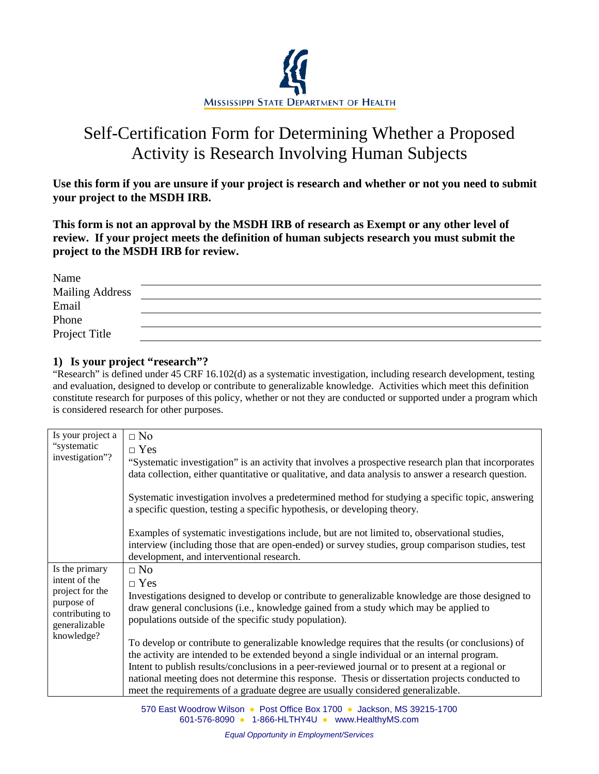

# Self-Certification Form for Determining Whether a Proposed Activity is Research Involving Human Subjects

**Use this form if you are unsure if your project is research and whether or not you need to submit your project to the MSDH IRB.**

**This form is not an approval by the MSDH IRB of research as Exempt or any other level of review. If your project meets the definition of human subjects research you must submit the project to the MSDH IRB for review.** 

| Name                   |  |
|------------------------|--|
| <b>Mailing Address</b> |  |
| Email                  |  |
| Phone                  |  |
| Project Title          |  |

## **1) Is your project "research"?**

"Research" is defined under 45 CRF 16.102(d) as a systematic investigation, including research development, testing and evaluation, designed to develop or contribute to generalizable knowledge. Activities which meet this definition constitute research for purposes of this policy, whether or not they are conducted or supported under a program which is considered research for other purposes.

| Is your project a                                                               | $\Box$ No                                                                                                                                                                                                                                            |
|---------------------------------------------------------------------------------|------------------------------------------------------------------------------------------------------------------------------------------------------------------------------------------------------------------------------------------------------|
| "systematic<br>investigation"?                                                  | $\Box$ Yes                                                                                                                                                                                                                                           |
|                                                                                 | "Systematic investigation" is an activity that involves a prospective research plan that incorporates<br>data collection, either quantitative or qualitative, and data analysis to answer a research question.                                       |
|                                                                                 | Systematic investigation involves a predetermined method for studying a specific topic, answering<br>a specific question, testing a specific hypothesis, or developing theory.                                                                       |
|                                                                                 | Examples of systematic investigations include, but are not limited to, observational studies,<br>interview (including those that are open-ended) or survey studies, group comparison studies, test<br>development, and interventional research.      |
| Is the primary                                                                  | $\Box$ No                                                                                                                                                                                                                                            |
| intent of the                                                                   | $\Box$ Yes                                                                                                                                                                                                                                           |
| project for the<br>purpose of<br>contributing to<br>generalizable<br>knowledge? | Investigations designed to develop or contribute to generalizable knowledge are those designed to<br>draw general conclusions (i.e., knowledge gained from a study which may be applied to<br>populations outside of the specific study population). |
|                                                                                 | To develop or contribute to generalizable knowledge requires that the results (or conclusions) of                                                                                                                                                    |
|                                                                                 | the activity are intended to be extended beyond a single individual or an internal program.                                                                                                                                                          |
|                                                                                 | Intent to publish results/conclusions in a peer-reviewed journal or to present at a regional or                                                                                                                                                      |
|                                                                                 | national meeting does not determine this response. Thesis or dissertation projects conducted to                                                                                                                                                      |
|                                                                                 | meet the requirements of a graduate degree are usually considered generalizable.                                                                                                                                                                     |

570 East Woodrow Wilson ● Post Office Box 1700 ● Jackson, MS 39215-1700 601-576-8090 ● 1-866-HLTHY4U ● [www.HealthyMS.com](http://www.healthyms.com/)